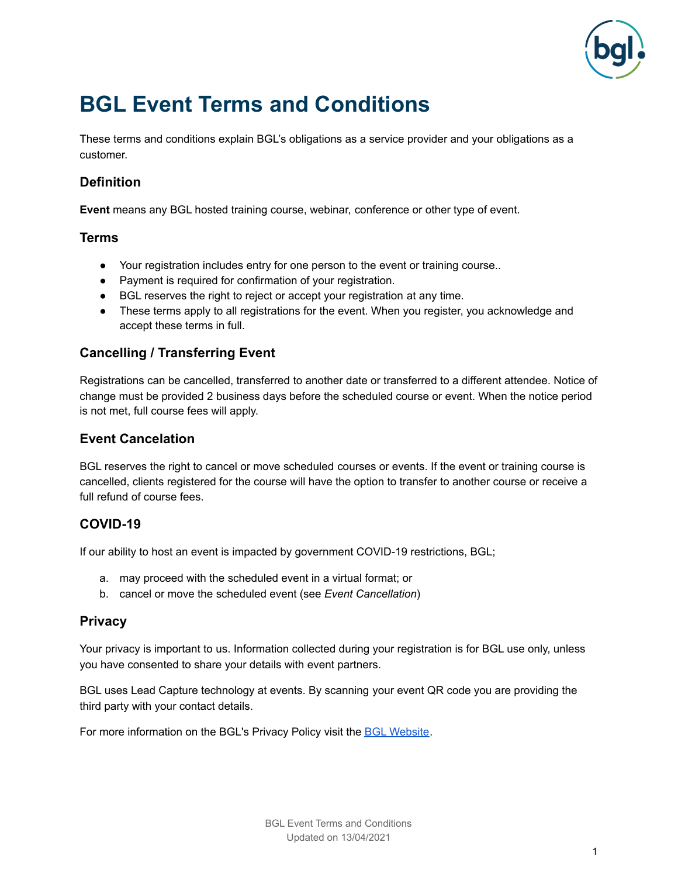

# **BGL Event Terms and Conditions**

These terms and conditions explain BGL's obligations as a service provider and your obligations as a customer.

## **Definition**

**Event** means any BGL hosted training course, webinar, conference or other type of event.

#### **Terms**

- Your registration includes entry for one person to the event or training course..
- Payment is required for confirmation of your registration.
- BGL reserves the right to reject or accept your registration at any time.
- These terms apply to all registrations for the event. When you register, you acknowledge and accept these terms in full.

### **Cancelling / Transferring Event**

Registrations can be cancelled, transferred to another date or transferred to a different attendee. Notice of change must be provided 2 business days before the scheduled course or event. When the notice period is not met, full course fees will apply.

#### **Event Cancelation**

BGL reserves the right to cancel or move scheduled courses or events. If the event or training course is cancelled, clients registered for the course will have the option to transfer to another course or receive a full refund of course fees.

#### **COVID-19**

If our ability to host an event is impacted by government COVID-19 restrictions, BGL;

- a. may proceed with the scheduled event in a virtual format; or
- b. cancel or move the scheduled event (see *Event Cancellation*)

#### **Privacy**

Your privacy is important to us. Information collected during your registration is for BGL use only, unless you have consented to share your details with event partners.

BGL uses Lead Capture technology at events. By scanning your event QR code you are providing the third party with your contact details.

For more information on the BGL's Privacy Policy visit the BGL [Website](https://www.bglcorp.com/privacy-policy/).